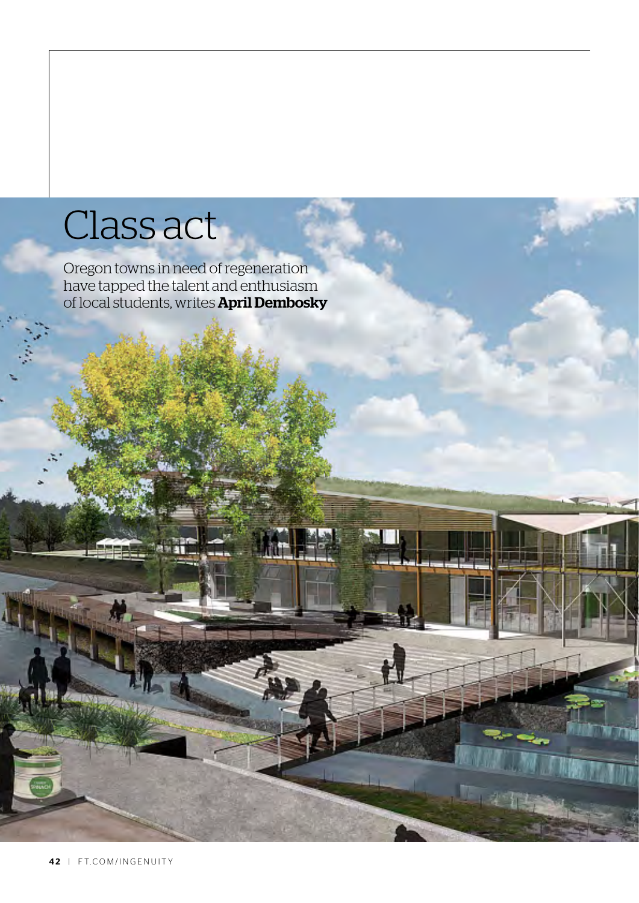## Class act

Oregon towns in need of regeneration have tapped the talent and enthusiasm of local students, writes **April Dembosky**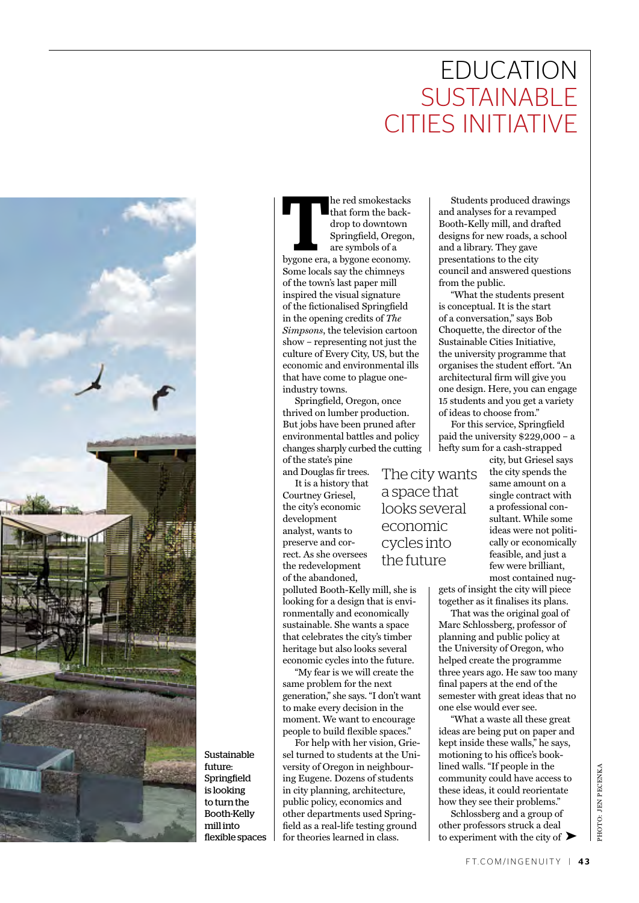## **EDUCATION SUSTAINABLE** cities initiative



Sustainable future: Springfield is looking to turn the Booth-Kelly mill into flexible spaces

that form the back-<br>that form the back-<br>drop to downtown<br>Springfield, Oregor<br>are symbols of a<br>bygone era, a bygone economy. he red smokestacks that form the backdrop to downtown Springfield, Oregon, are symbols of a Some locals say the chimneys of the town's last paper mill inspired the visual signature of the fictionalised Springfield in the opening credits of *The Simpsons*, the television cartoon show – representing not just the culture of Every City, US, but the economic and environmental ills that have come to plague oneindustry towns.

Springfield, Oregon, once thrived on lumber production. But jobs have been pruned after environmental battles and policy changes sharply curbed the cutting of the state's pine

and Douglas fir trees. It is a history that Courtney Griesel, the city's economic development analyst, wants to preserve and correct. As she oversees the redevelopment of the abandoned,

polluted Booth-Kelly mill, she is looking for a design that is environmentally and economically sustainable. She wants a space that celebrates the city's timber heritage but also looks several economic cycles into the future.

"My fear is we will create the same problem for the next generation," she says. "I don't want to make every decision in the moment. We want to encourage people to build flexible spaces."

For help with her vision, Griesel turned to students at the University of Oregon in neighbouring Eugene. Dozens of students in city planning, architecture, public policy, economics and other departments used Springfield as a real-life testing ground for theories learned in class.

Students produced drawings and analyses for a revamped Booth-Kelly mill, and drafted designs for new roads, a school and a library. They gave presentations to the city council and answered questions from the public.

"What the students present is conceptual. It is the start of a conversation," says Bob Choquette, the director of the Sustainable Cities Initiative, the university programme that organises the student effort. "An architectural firm will give you one design. Here, you can engage 15 students and you get a variety of ideas to choose from."

For this service, Springfield paid the university \$229,000 – a hefty sum for a cash-strapped

The city wants a space that looks several economic cycles into the future

city, but Griesel says the city spends the same amount on a single contract with a professional consultant. While some ideas were not politically or economically feasible, and just a few were brilliant, most contained nug-

gets of insight the city will piece together as it finalises its plans.

That was the original goal of Marc Schlossberg, professor of planning and public policy at the University of Oregon, who helped create the programme three years ago. He saw too many final papers at the end of the semester with great ideas that no one else would ever see.

"What a waste all these great ideas are being put on paper and kept inside these walls," he says, motioning to his office's booklined walls. "If people in the community could have access to these ideas, it could reorientate how they see their problems."

Schlossberg and a group of other professors struck a deal to experiment with the city of  $\blacktriangleright$